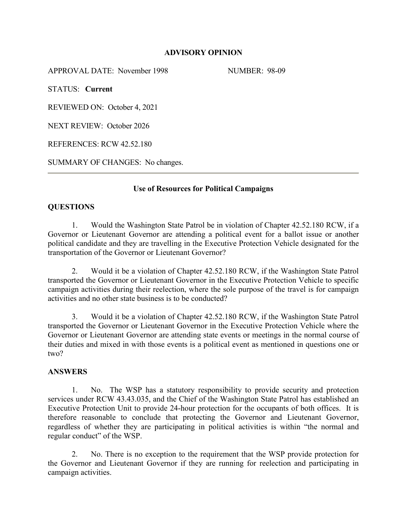## **ADVISORY OPINION**

APPROVAL DATE: November 1998 NUMBER: 98-09

STATUS: **Current**

REVIEWED ON: October 4, 2021

NEXT REVIEW: October 2026

REFERENCES: RCW 42.52.180

SUMMARY OF CHANGES: No changes.

## **Use of Resources for Political Campaigns**

## **QUESTIONS**

1. Would the Washington State Patrol be in violation of Chapter 42.52.180 RCW, if a Governor or Lieutenant Governor are attending a political event for a ballot issue or another political candidate and they are travelling in the Executive Protection Vehicle designated for the transportation of the Governor or Lieutenant Governor?

2. Would it be a violation of Chapter 42.52.180 RCW, if the Washington State Patrol transported the Governor or Lieutenant Governor in the Executive Protection Vehicle to specific campaign activities during their reelection, where the sole purpose of the travel is for campaign activities and no other state business is to be conducted?

3. Would it be a violation of Chapter 42.52.180 RCW, if the Washington State Patrol transported the Governor or Lieutenant Governor in the Executive Protection Vehicle where the Governor or Lieutenant Governor are attending state events or meetings in the normal course of their duties and mixed in with those events is a political event as mentioned in questions one or two?

#### **ANSWERS**

1. No. The WSP has a statutory responsibility to provide security and protection services under RCW 43.43.035, and the Chief of the Washington State Patrol has established an Executive Protection Unit to provide 24-hour protection for the occupants of both offices. It is therefore reasonable to conclude that protecting the Governor and Lieutenant Governor, regardless of whether they are participating in political activities is within "the normal and regular conduct" of the WSP.

2. No. There is no exception to the requirement that the WSP provide protection for the Governor and Lieutenant Governor if they are running for reelection and participating in campaign activities.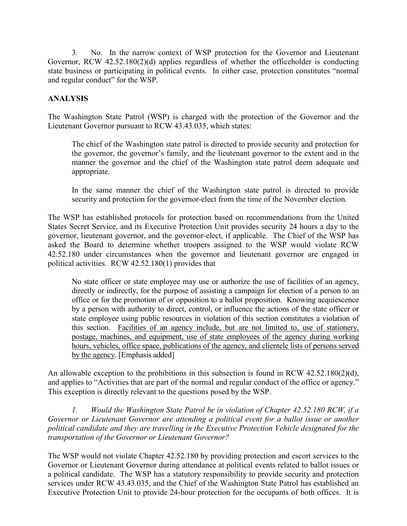3. No. In the narrow context of WSP protection for the Governor and Lieutenant Governor, RCW 42.52.180(2)(d) applies regardless of whether the officeholder is conducting state business or participating in political events. In either case, protection constitutes "normal and regular conduct" for the WSP.

# **ANALYSIS**

The Washington State Patrol (WSP) is charged with the protection of the Governor and the Lieutenant Governor pursuant to RCW 43.43.035, which states:

The chief of the Washington state patrol is directed to provide security and protection for the governor, the governor's family, and the lieutenant governor to the extent and in the manner the governor and the chief of the Washington state patrol deem adequate and appropriate.

In the same manner the chief of the Washington state patrol is directed to provide security and protection for the governor-elect from the time of the November election.

The WSP has established protocols for protection based on recommendations from the United States Secret Service, and its Executive Protection Unit provides security 24 hours a day to the governor, lieutenant governor, and the governor-elect, if applicable. The Chief of the WSP has asked the Board to determine whether troopers assigned to the WSP would violate RCW 42.52.180 under circumstances when the governor and lieutenant governor are engaged in political activities. RCW 42.52.180(1) provides that

No state officer or state employee may use or authorize the use of facilities of an agency, directly or indirectly, for the purpose of assisting a campaign for election of a person to an office or for the promotion of or opposition to a ballot proposition. Knowing acquiescence by a person with authority to direct, control, or influence the actions of the state officer or state employee using public resources in violation of this section constitutes a violation of this section. Facilities of an agency include, but are not limited to, use of stationery, postage, machines, and equipment, use of state employees of the agency during working hours, vehicles, office space, publications of the agency, and clientele lists of persons served by the agency. [Emphasis added]

An allowable exception to the prohibitions in this subsection is found in RCW 42.52.180(2)(d), and applies to "Activities that are part of the normal and regular conduct of the office or agency." This exception is directly relevant to the questions posed by the WSP.

*1. Would the Washington State Patrol be in violation of Chapter 42.52.180 RCW, if a Governor or Lieutenant Governor are attending a political event for a ballot issue or another political candidate and they are travelling in the Executive Protection Vehicle designated for the transportation of the Governor or Lieutenant Governor?* 

The WSP would not violate Chapter 42.52.180 by providing protection and escort services to the Governor or Lieutenant Governor during attendance at political events related to ballot issues or a political candidate. The WSP has a statutory responsibility to provide security and protection services under RCW 43.43.035, and the Chief of the Washington State Patrol has established an Executive Protection Unit to provide 24-hour protection for the occupants of both offices. It is